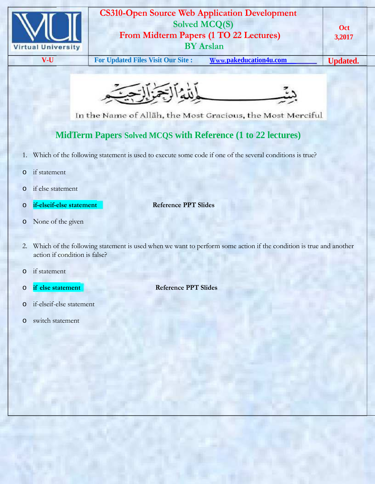

## **CS310-Open Source Web Application Development Solved MCQ(S) From Midterm Papers (1 TO 22 Lectures) BY Arslan**

**V-U For Updated Files Visit Our Site : Www.pakeducation4u.com Updated.**



In the Name of Allah, the Most Gracious, the Most Merciful

## **MidTerm Papers Solved MCQS with Reference (1 to 22 lectures)**

- 1. Which of the following statement is used to execute some code if one of the several conditions is true?
- o if statement
- o if else statement
- o **if-elseif-else statement Reference PPT Slides**

- o None of the given
- 2. Which of the following statement is used when we want to perform some action if the condition is true and another action if condition is false?
- o if statement
- o **if else statement Reference PPT Slides**
- o if-elseif-else statement
- o switch statement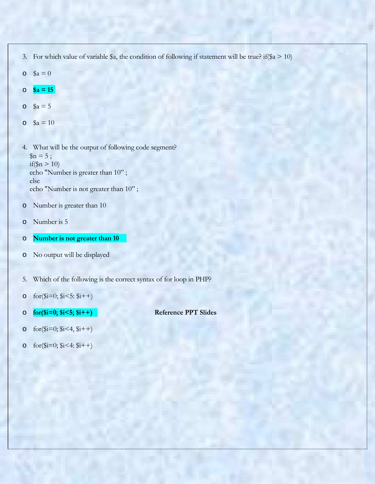- 3. For which value of variable \$a, the condition of following if statement will be true? if(\$a > 10)
- $\theta = \$a = 0$
- $\circ$  **\$a = 15**
- $\sqrt{a} = 5$
- $\epsilon$  \$a = 10

4. What will be the output of following code segment?  $\Im n = 5$ ; if( $\ln > 10$ ) echo "Number is greater than 10" ; else echo "Number is not greater than 10" ;

- o Number is greater than 10
- o Number is 5
- o **Number is not greater than 10**
- o No output will be displayed
- 5. Which of the following is the correct syntax of for loop in PHP?
- o  $for ($i=0; $i<5; $i++)$
- o **for(\$i=0; \$i<5; \$i++) Reference PPT Slides**

- o  $for ($i=0; $i<4, $i++)$
- o  $for ($i=0; $i<4: $i++)$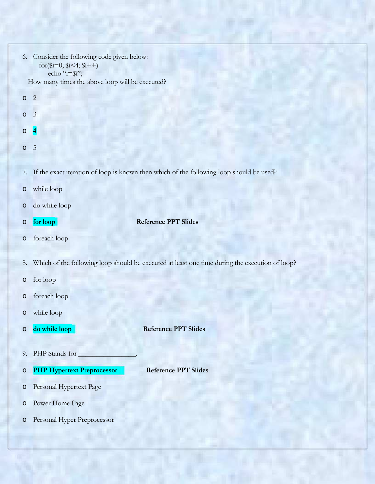| 6.                                              | Consider the following code given below:<br>for ( $(i=0; 1/3i<4; 1/4+1$ )<br>echo " $i=\frac{2}{3}i$ "; |  |  |  |
|-------------------------------------------------|---------------------------------------------------------------------------------------------------------|--|--|--|
| How many times the above loop will be executed? |                                                                                                         |  |  |  |
| $\circ$                                         | $\overline{c}$                                                                                          |  |  |  |
| $\circ$                                         | $\overline{3}$                                                                                          |  |  |  |
| $\circ$                                         | $\overline{4}$                                                                                          |  |  |  |
| $\circ$                                         | 5                                                                                                       |  |  |  |
|                                                 |                                                                                                         |  |  |  |
| 7.                                              | If the exact iteration of loop is known then which of the following loop should be used?                |  |  |  |
| $\circ$                                         | while loop                                                                                              |  |  |  |
| $\circ$                                         | do while loop                                                                                           |  |  |  |
| $\circ$                                         | <b>Reference PPT Slides</b><br>for loop                                                                 |  |  |  |
| $\circ$                                         | foreach loop                                                                                            |  |  |  |
| 8.                                              |                                                                                                         |  |  |  |
|                                                 | Which of the following loop should be executed at least one time during the execution of loop?          |  |  |  |
| $\circ$                                         | for loop                                                                                                |  |  |  |
| $\circ$                                         | foreach loop                                                                                            |  |  |  |
| $\circ$                                         | while loop                                                                                              |  |  |  |
| $\circ$                                         | do while loop<br><b>Reference PPT Slides</b>                                                            |  |  |  |
|                                                 |                                                                                                         |  |  |  |
| 9.                                              | PHP Stands for                                                                                          |  |  |  |
| $\circ$                                         | <b>PHP Hypertext Preprocessor</b><br><b>Reference PPT Slides</b>                                        |  |  |  |
| $\circ$                                         | Personal Hypertext Page                                                                                 |  |  |  |
| $\circ$                                         | Power Home Page                                                                                         |  |  |  |
| $\circ$                                         | Personal Hyper Preprocessor                                                                             |  |  |  |
|                                                 |                                                                                                         |  |  |  |
|                                                 |                                                                                                         |  |  |  |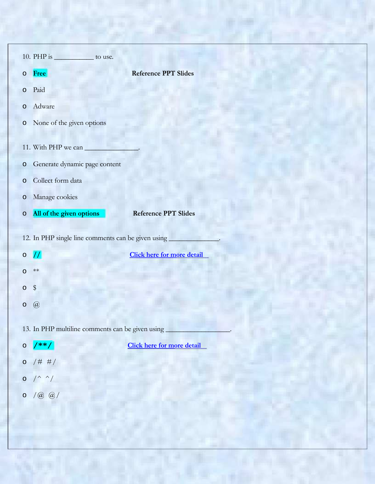| 10. PHP is _____________ to use.                   |                                   |  |  |  |  |
|----------------------------------------------------|-----------------------------------|--|--|--|--|
| Free<br>$\circ$                                    | <b>Reference PPT Slides</b>       |  |  |  |  |
| Paid<br>$\circ$                                    |                                   |  |  |  |  |
| Adware<br>$\circ$                                  |                                   |  |  |  |  |
| None of the given options<br>$\circ$               |                                   |  |  |  |  |
| 11. With PHP we can                                |                                   |  |  |  |  |
| Generate dynamic page content<br>$\circ$           |                                   |  |  |  |  |
| Collect form data<br>$\circ$                       |                                   |  |  |  |  |
| Manage cookies<br>$\circ$                          |                                   |  |  |  |  |
| All of the given options<br>$\circ$                | <b>Reference PPT Slides</b>       |  |  |  |  |
| 12. In PHP single line comments can be given using |                                   |  |  |  |  |
| $\prime\prime$<br>$\circ$                          | <b>Click here for more detail</b> |  |  |  |  |
| $**$<br>$\circ$                                    |                                   |  |  |  |  |
| $\$\$<br>$\circ$                                   |                                   |  |  |  |  |
| $\left( a\right)$<br>$\circ$                       |                                   |  |  |  |  |
| 13. In PHP multiline comments can be given using   |                                   |  |  |  |  |
| $\sqrt{**}/$<br>$\circ$                            | <b>Click here for more detail</b> |  |  |  |  |
| 0 / # #/                                           |                                   |  |  |  |  |
| $0$ /^ ^/                                          |                                   |  |  |  |  |
| $(a \omega)$<br>$\circ$                            |                                   |  |  |  |  |
|                                                    |                                   |  |  |  |  |
|                                                    |                                   |  |  |  |  |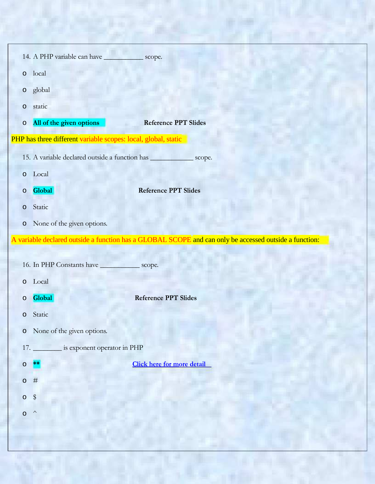| 14. A PHP variable can have ______________ scope.              |                                                                                                        |  |
|----------------------------------------------------------------|--------------------------------------------------------------------------------------------------------|--|
| local<br>$\circ$                                               |                                                                                                        |  |
| global<br>$\circ$                                              |                                                                                                        |  |
| static<br>$\circ$                                              |                                                                                                        |  |
| All of the given options<br>$\circ$                            | <b>Reference PPT Slides</b>                                                                            |  |
| PHP has three different variable scopes: local, global, static |                                                                                                        |  |
|                                                                | 15. A variable declared outside a function has ________________ scope.                                 |  |
| o Local                                                        |                                                                                                        |  |
| Global<br>$\circ$                                              | <b>Reference PPT Slides</b>                                                                            |  |
| Static<br>$\circ$                                              |                                                                                                        |  |
| None of the given options.<br>$\circ$                          |                                                                                                        |  |
|                                                                | A variable declared outside a function has a GLOBAL SCOPE and can only be accessed outside a function: |  |
|                                                                |                                                                                                        |  |
| 16. In PHP Constants have _______________ scope.               |                                                                                                        |  |
| Local<br>O                                                     |                                                                                                        |  |
| Global<br>O                                                    | <b>Reference PPT Slides</b>                                                                            |  |
| Static<br>$\circ$                                              |                                                                                                        |  |
| None of the given options.<br>$\circ$                          |                                                                                                        |  |
| 17. __________ is exponent operator in PHP                     |                                                                                                        |  |
| $\circ$                                                        | <b>Click here for more detail</b>                                                                      |  |
| $\#$<br>$\circ$                                                |                                                                                                        |  |
| $\frac{4}{3}$<br>$\circ$                                       |                                                                                                        |  |
| $\wedge$<br>$\circ$                                            |                                                                                                        |  |
|                                                                |                                                                                                        |  |

E,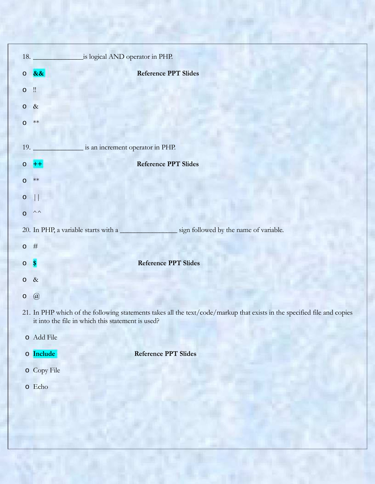|            |                | 18. <b>is logical AND operator in PHP.</b>                                                                                                                                    |
|------------|----------------|-------------------------------------------------------------------------------------------------------------------------------------------------------------------------------|
| $\circ$ && |                | <b>Reference PPT Slides</b>                                                                                                                                                   |
| $\circ$    | $\mathbf{u}$   |                                                                                                                                                                               |
| 0 & 8      |                |                                                                                                                                                                               |
| $\circ$    | $**$           |                                                                                                                                                                               |
| 19.        |                | is an increment operator in PHP.                                                                                                                                              |
| $\circ$    |                | <b>Reference PPT Slides</b>                                                                                                                                                   |
| $\circ$    | $\ast\ast$     |                                                                                                                                                                               |
| $\circ$    |                |                                                                                                                                                                               |
| $\circ$    | $\wedge\wedge$ |                                                                                                                                                                               |
|            |                | 20. In PHP, a variable starts with a sign followed by the name of variable.                                                                                                   |
| $0$ #      |                |                                                                                                                                                                               |
| $\circ$ \$ |                | Reference PPT Slides                                                                                                                                                          |
| $\circ$    | $\&$           |                                                                                                                                                                               |
| $\circ$    | $\circleda$    |                                                                                                                                                                               |
|            |                | 21. In PHP which of the following statements takes all the text/code/markup that exists in the specified file and copies<br>it into the file in which this statement is used? |
|            |                | o Add File                                                                                                                                                                    |
|            |                | o Include<br><b>Reference PPT Slides</b>                                                                                                                                      |
|            |                | o Copy File                                                                                                                                                                   |
|            |                | o Echo                                                                                                                                                                        |
|            |                |                                                                                                                                                                               |
|            |                |                                                                                                                                                                               |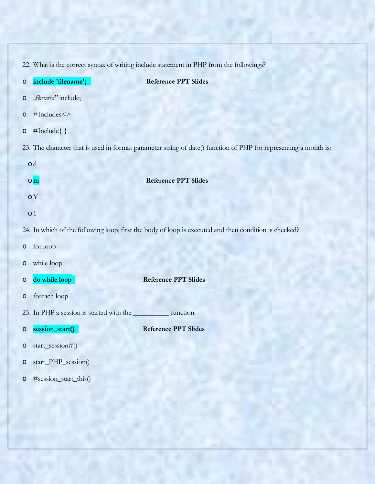|                                                                                                                  | 22. What is the correct syntax of writing include statement in PHP from the followings? |                                                                                                        |  |  |
|------------------------------------------------------------------------------------------------------------------|-----------------------------------------------------------------------------------------|--------------------------------------------------------------------------------------------------------|--|--|
| $\circ$                                                                                                          | include 'filename';                                                                     | <b>Reference PPT Slides</b>                                                                            |  |  |
| $\circ$                                                                                                          | "filename" include;                                                                     |                                                                                                        |  |  |
| O                                                                                                                | #Includes <>                                                                            |                                                                                                        |  |  |
| $\circ$                                                                                                          | #Include{ }                                                                             |                                                                                                        |  |  |
| 23. The character that is used in format parameter string of date() function of PHP for representing a month is: |                                                                                         |                                                                                                        |  |  |
|                                                                                                                  | od                                                                                      |                                                                                                        |  |  |
|                                                                                                                  | $\circ$ <sub>m</sub>                                                                    | <b>Reference PPT Slides</b>                                                                            |  |  |
|                                                                                                                  | $\circ Y$                                                                               |                                                                                                        |  |  |
|                                                                                                                  | $\circ$ 1                                                                               |                                                                                                        |  |  |
|                                                                                                                  |                                                                                         | 24. In which of the following loop, first the body of loop is executed and then condition is checked?. |  |  |
| O                                                                                                                | for loop                                                                                |                                                                                                        |  |  |
| $\circ$                                                                                                          | while loop                                                                              |                                                                                                        |  |  |
| O                                                                                                                | do while loop                                                                           | <b>Reference PPT Slides</b>                                                                            |  |  |
| $\circ$                                                                                                          | foreach loop                                                                            |                                                                                                        |  |  |
|                                                                                                                  | 25. In PHP a session is started with the                                                | function.                                                                                              |  |  |
| O                                                                                                                | session_start()                                                                         | <b>Reference PPT Slides</b>                                                                            |  |  |
| $\circ$                                                                                                          | start_session#()                                                                        |                                                                                                        |  |  |
| $\circ$                                                                                                          | start_PHP_session()                                                                     |                                                                                                        |  |  |
| $\circ$                                                                                                          | #session_start_this()                                                                   |                                                                                                        |  |  |
|                                                                                                                  |                                                                                         |                                                                                                        |  |  |

p. je